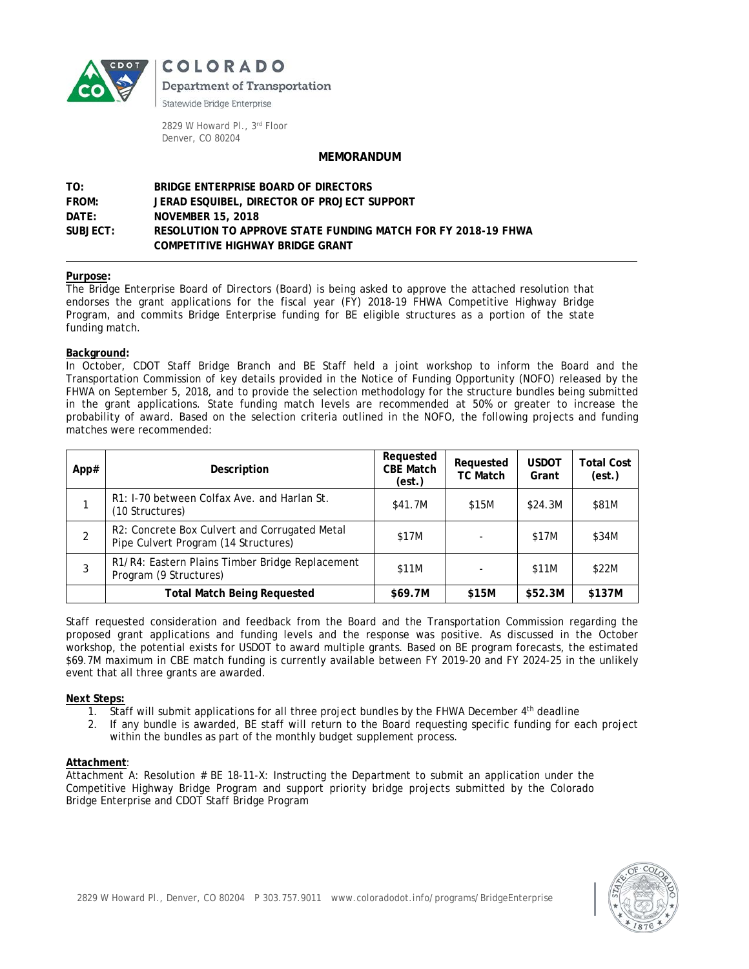

COLORADO

Department of Transportation

Statewide Bridge Enterprise

2829 W Howard Pl., 3rd Floor Denver, CO 80204

### **MEMORANDUM**

## **TO: BRIDGE ENTERPRISE BOARD OF DIRECTORS FROM: JERAD ESQUIBEL, DIRECTOR OF PROJECT SUPPORT DATE: NOVEMBER 15, 2018 SUBJECT: RESOLUTION TO APPROVE STATE FUNDING MATCH FOR FY 2018-19 FHWA COMPETITIVE HIGHWAY BRIDGE GRANT**

#### **Purpose:**

The Bridge Enterprise Board of Directors (Board) is being asked to approve the attached resolution that endorses the grant applications for the fiscal year (FY) 2018-19 FHWA Competitive Highway Bridge Program, and commits Bridge Enterprise funding for BE eligible structures as a portion of the state funding match.

#### **Background:**

In October, CDOT Staff Bridge Branch and BE Staff held a joint workshop to inform the Board and the Transportation Commission of key details provided in the Notice of Funding Opportunity (NOFO) released by the FHWA on September 5, 2018, and to provide the selection methodology for the structure bundles being submitted in the grant applications. State funding match levels are recommended at 50% or greater to increase the probability of award. Based on the selection criteria outlined in the NOFO, the following projects and funding matches were recommended:

| App# | Description                                                                           | Requested<br><b>CBE Match</b><br>(est.) | Requested<br><b>TC Match</b> | <b>USDOT</b><br>Grant | Total Cost<br>(est.) |
|------|---------------------------------------------------------------------------------------|-----------------------------------------|------------------------------|-----------------------|----------------------|
|      | R1: I-70 between Colfax Ave. and Harlan St.<br>(10 Structures)                        | \$41.7M                                 | \$15M                        | \$24.3M               | \$81M                |
| 2    | R2: Concrete Box Culvert and Corrugated Metal<br>Pipe Culvert Program (14 Structures) | \$17M                                   |                              | \$17M                 | \$34M                |
| 3    | R1/R4: Eastern Plains Timber Bridge Replacement<br>Program (9 Structures)             | \$11M                                   |                              | \$11M                 | \$22M                |
|      | <b>Total Match Being Requested</b>                                                    | \$69.7M                                 | \$15M                        | \$52.3M               | \$137M               |

Staff requested consideration and feedback from the Board and the Transportation Commission regarding the proposed grant applications and funding levels and the response was positive. As discussed in the October workshop, the potential exists for USDOT to award multiple grants. Based on BE program forecasts, the estimated \$69.7M maximum in CBE match funding is currently available between FY 2019-20 and FY 2024-25 in the unlikely event that all three grants are awarded.

#### **Next Steps:**

- 1. Staff will submit applications for all three project bundles by the FHWA December 4<sup>th</sup> deadline
- 2. If any bundle is awarded, BE staff will return to the Board requesting specific funding for each project within the bundles as part of the monthly budget supplement process.

#### **Attachment**:

Attachment A: Resolution # BE 18-11-X: Instructing the Department to submit an application under the Competitive Highway Bridge Program and support priority bridge projects submitted by the Colorado Bridge Enterprise and CDOT Staff Bridge Program

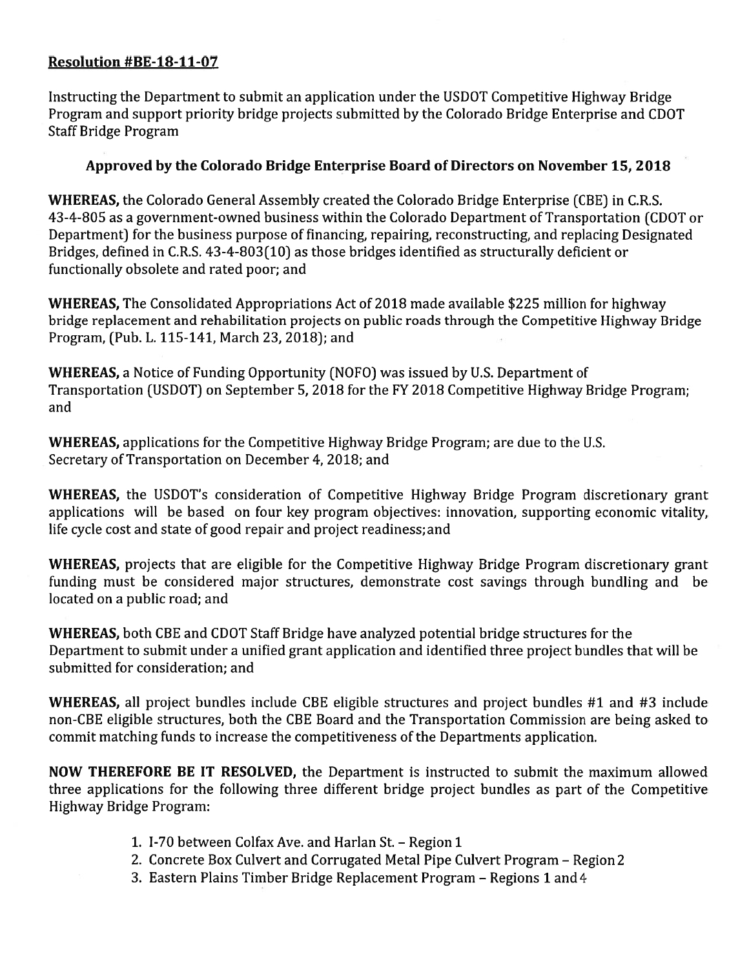## Resolution #BE-18-11-07

Instructing the Department to submit an application under the USDOT Competitive Highway Bridge Program and support priority bridge projects submitted by the Colorado Bridge Enterprise and CDOT **Staff Bridge Program** 

# Approved by the Colorado Bridge Enterprise Board of Directors on November 15, 2018

WHEREAS, the Colorado General Assembly created the Colorado Bridge Enterprise (CBE) in C.R.S. 43-4-805 as a government-owned business within the Colorado Department of Transportation (CDOT or Department) for the business purpose of financing, repairing, reconstructing, and replacing Designated Bridges, defined in C.R.S. 43-4-803(10) as those bridges identified as structurally deficient or functionally obsolete and rated poor; and

WHEREAS, The Consolidated Appropriations Act of 2018 made available \$225 million for highway bridge replacement and rehabilitation projects on public roads through the Competitive Highway Bridge Program, (Pub. L. 115-141, March 23, 2018); and

**WHEREAS, a Notice of Funding Opportunity (NOFO) was issued by U.S. Department of** Transportation (USDOT) on September 5, 2018 for the FY 2018 Competitive Highway Bridge Program; and

**WHEREAS, applications for the Competitive Highway Bridge Program; are due to the U.S.** Secretary of Transportation on December 4, 2018; and

WHEREAS, the USDOT's consideration of Competitive Highway Bridge Program discretionary grant applications will be based on four key program objectives: innovation, supporting economic vitality, life cycle cost and state of good repair and project readiness; and

WHEREAS, projects that are eligible for the Competitive Highway Bridge Program discretionary grant funding must be considered major structures, demonstrate cost savings through bundling and be located on a public road; and

WHEREAS, both CBE and CDOT Staff Bridge have analyzed potential bridge structures for the Department to submit under a unified grant application and identified three project bundles that will be submitted for consideration: and

WHEREAS, all project bundles include CBE eligible structures and project bundles #1 and #3 include non-CBE eligible structures, both the CBE Board and the Transportation Commission are being asked to commit matching funds to increase the competitiveness of the Departments application.

NOW THEREFORE BE IT RESOLVED, the Department is instructed to submit the maximum allowed three applications for the following three different bridge project bundles as part of the Competitive Highway Bridge Program:

- 1. I-70 between Colfax Ave. and Harlan St. Region 1
- 2. Concrete Box Culvert and Corrugated Metal Pipe Culvert Program Region 2
- 3. Eastern Plains Timber Bridge Replacement Program Regions 1 and 4